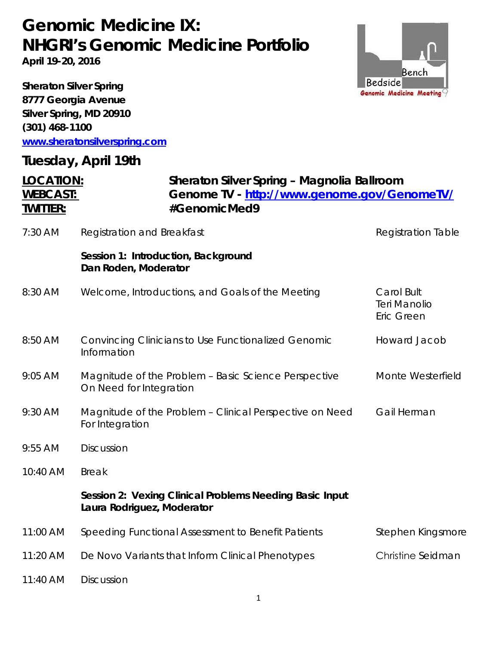## *Genomic Medicine IX: NHGRI's Genomic Medicine Portfolio*

**April 19-20, 2016** 

**Sheraton Silver Spring 8777 Georgia Avenue Silver Spring, MD 20910 (301) 468-1100 [www.sheratonsilverspring.com](http://www.sheratonsilverspring.com/)**

#### **Tuesday, April 19th**



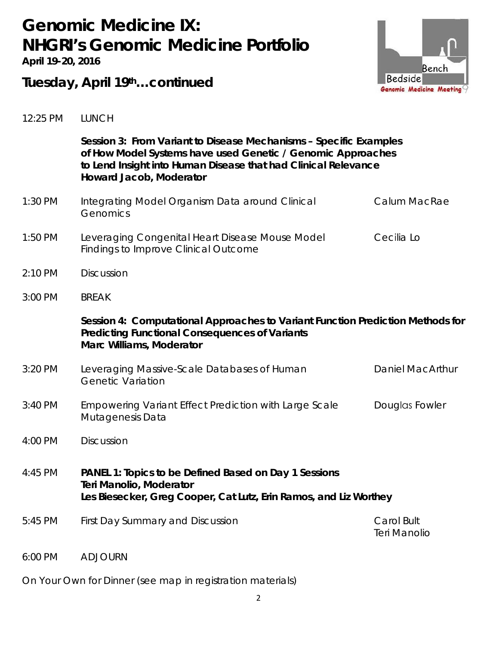# *Genomic Medicine IX: NHGRI's Genomic Medicine Portfolio*

**April 19-20, 2016** 



### **Tuesday, April 19th…continued**

| 12:25 PM | <b>LUNCH</b> |
|----------|--------------|
|          |              |

|           | Session 3: From Variant to Disease Mechanisms - Specific Examples<br>of How Model Systems have used Genetic / Genomic Approaches<br>to Lend Insight into Human Disease that had Clinical Relevance<br>Howard Jacob, Moderator |                                   |  |
|-----------|-------------------------------------------------------------------------------------------------------------------------------------------------------------------------------------------------------------------------------|-----------------------------------|--|
| 1:30 PM   | Integrating Model Organism Data around Clinical<br>Genomics                                                                                                                                                                   | Calum MacRae                      |  |
| $1:50$ PM | Leveraging Congenital Heart Disease Mouse Model<br><b>Findings to Improve Clinical Outcome</b>                                                                                                                                | Cecilia Lo                        |  |
| 2:10 PM   | <b>Discussion</b>                                                                                                                                                                                                             |                                   |  |
| 3:00 PM   | <b>BREAK</b>                                                                                                                                                                                                                  |                                   |  |
|           | Session 4: Computational Approaches to Variant Function Prediction Methods for<br><b>Predicting Functional Consequences of Variants</b><br><b>Marc Williams, Moderator</b>                                                    |                                   |  |
| 3:20 PM   | Leveraging Massive-Scale Databases of Human<br><b>Genetic Variation</b>                                                                                                                                                       | <b>Daniel MacArthur</b>           |  |
| 3:40 PM   | <b>Empowering Variant Effect Prediction with Large Scale</b><br>Mutagenesis Data                                                                                                                                              | Douglas Fowler                    |  |
| 4:00 PM   | <b>Discussion</b>                                                                                                                                                                                                             |                                   |  |
| 4:45 PM   | PANEL 1: Topics to be Defined Based on Day 1 Sessions<br>Teri Manolio, Moderator<br>Les Biesecker, Greg Cooper, Cat Lutz, Erin Ramos, and Liz Worthey                                                                         |                                   |  |
| 5:45 PM   | First Day Summary and Discussion                                                                                                                                                                                              | Carol Bult<br><b>Teri Manolio</b> |  |
| 6:00 PM   | <b>ADJOURN</b>                                                                                                                                                                                                                |                                   |  |

On Your Own for Dinner (see map in registration materials)